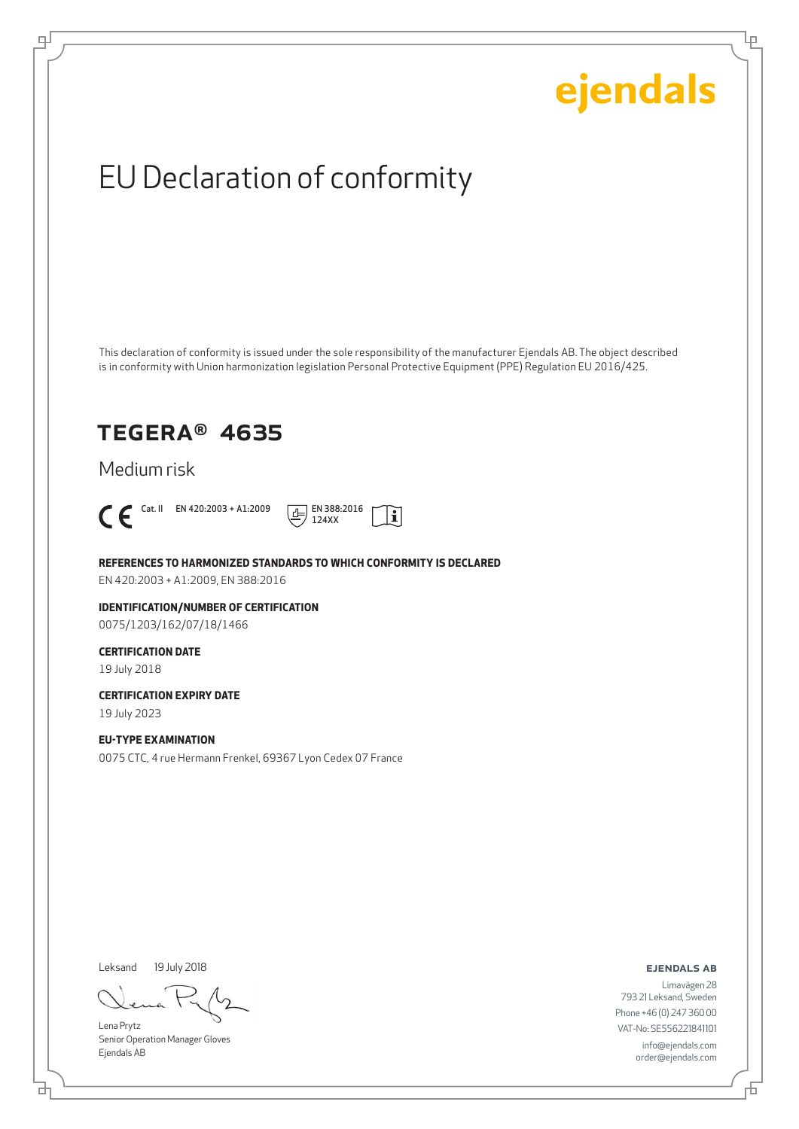Ļμ

## EU Declaration of conformity

This declaration of conformity is issued under the sole responsibility of the manufacturer Ejendals AB. The object described is in conformity with Union harmonization legislation Personal Protective Equipment (PPE) Regulation EU 2016/425.

 $|\mathbf{i}|$ 

### TEGERA® 4635

Medium risk



டி



**REFERENCES TO HARMONIZED STANDARDS TO WHICH CONFORMITY IS DECLARED**

EN 420:2003 + A1:2009, EN 388:2016

**IDENTIFICATION/NUMBER OF CERTIFICATION** 0075/1203/162/07/18/1466

### **CERTIFICATION DATE**

19 July 2018

**CERTIFICATION EXPIRY DATE**

19 July 2023

### **EU-TYPE EXAMINATION**

0075 CTC, 4 rue Hermann Frenkel, 69367 Lyon Cedex 07 France

Leksand 19 July 2018

Lena Prytz Senior Operation Manager Gloves Ejendals AB

ejendals ab

Limavägen 28 793 21 Leksand, Sweden Phone +46 (0) 247 360 00 VAT-No: SE556221841101 info@ejendals.com order@ejendals.com

브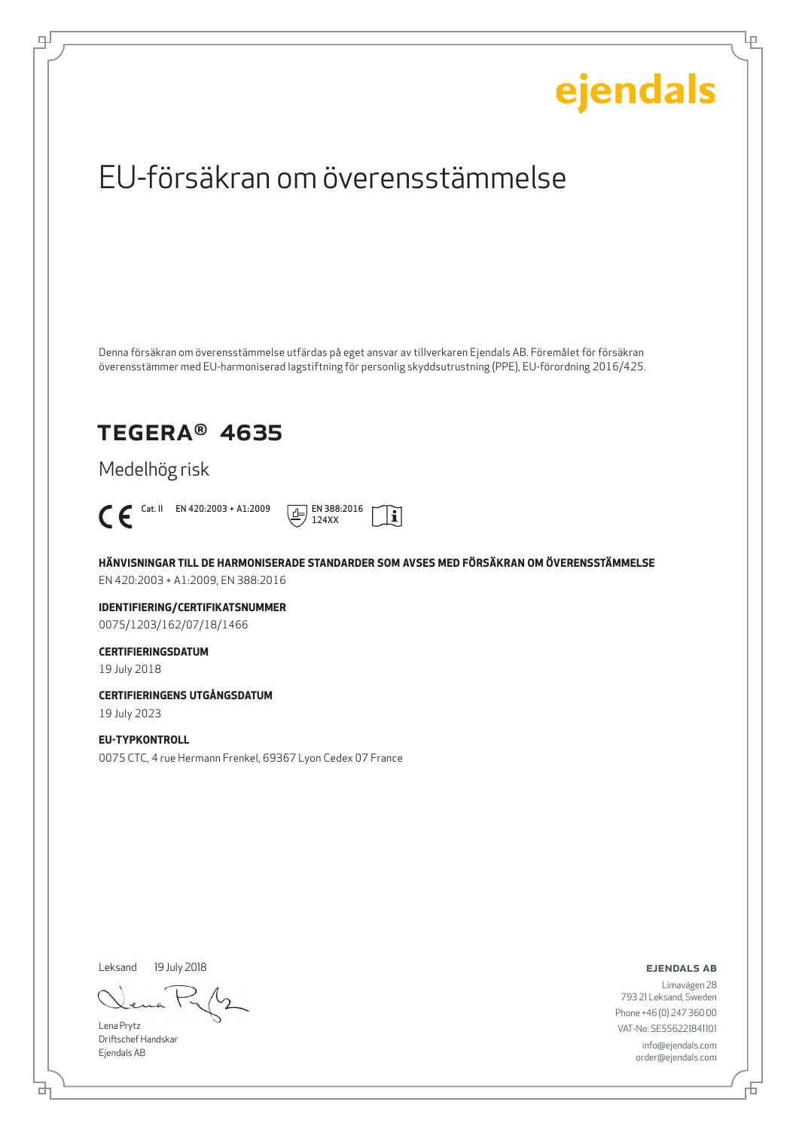Ļμ

## EU-försäkran om överensstämmelse

Denna försäkran om överensstämmelse utfärdas på eget ansvar av tillverkaren Ejendals AB. Föremålet för försäkran överensstämmer med EU-harmoniserad lagstiftning för personlig skyddsutrustning (PPE), EU-förordning 2016/425.

### TEGERA® 4635

Medelhög risk



டி



**HÄNVISNINGAR TILL DE HARMONISERADE STANDARDER SOM AVSES MED FÖRSÄKRAN OM ÖVERENSSTÄMMELSE** EN 420:2003 + A1:2009, EN 388:2016

**IDENTIFIERING/CERTIFIKATSNUMMER** 0075/1203/162/07/18/1466

### **CERTIFIERINGSDATUM**

19 July 2018

**CERTIFIERINGENS UTGÅNGSDATUM**

19 July 2023

### **EU-TYPKONTROLL**

0075 CTC, 4 rue Hermann Frenkel, 69367 Lyon Cedex 07 France

Leksand 19 July 2018

Lena Prytz Driftschef Handskar Ejendals AB

ejendals ab

Limavägen 28 793 21 Leksand, Sweden Phone +46 (0) 247 360 00 VAT-No: SE556221841101 info@ejendals.com order@ejendals.com

舌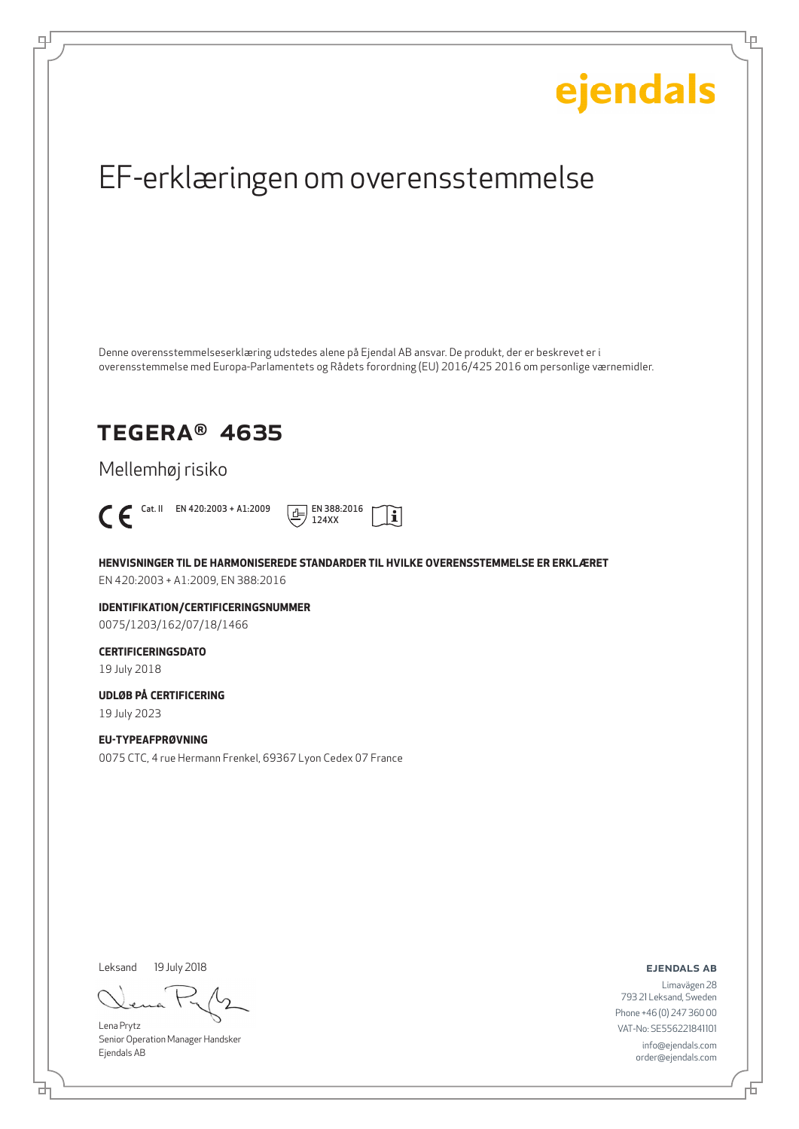Ļμ

## EF-erklæringen om overensstemmelse

Denne overensstemmelseserklæring udstedes alene på Ejendal AB ansvar. De produkt, der er beskrevet er i overensstemmelse med Europa-Parlamentets og Rådets forordning (EU) 2016/425 2016 om personlige værnemidler.

### TEGERA® 4635

Mellemhøj risiko



டி



**HENVISNINGER TIL DE HARMONISEREDE STANDARDER TIL HVILKE OVERENSSTEMMELSE ER ERKLÆRET** EN 420:2003 + A1:2009, EN 388:2016

**IDENTIFIKATION/CERTIFICERINGSNUMMER** 0075/1203/162/07/18/1466

### **CERTIFICERINGSDATO**

19 July 2018

### **UDLØB PÅ CERTIFICERING**

19 July 2023

### **EU-TYPEAFPRØVNING**

0075 CTC, 4 rue Hermann Frenkel, 69367 Lyon Cedex 07 France

Leksand 19 July 2018

Lena Prytz Senior Operation Manager Handsker Ejendals AB

ejendals ab

브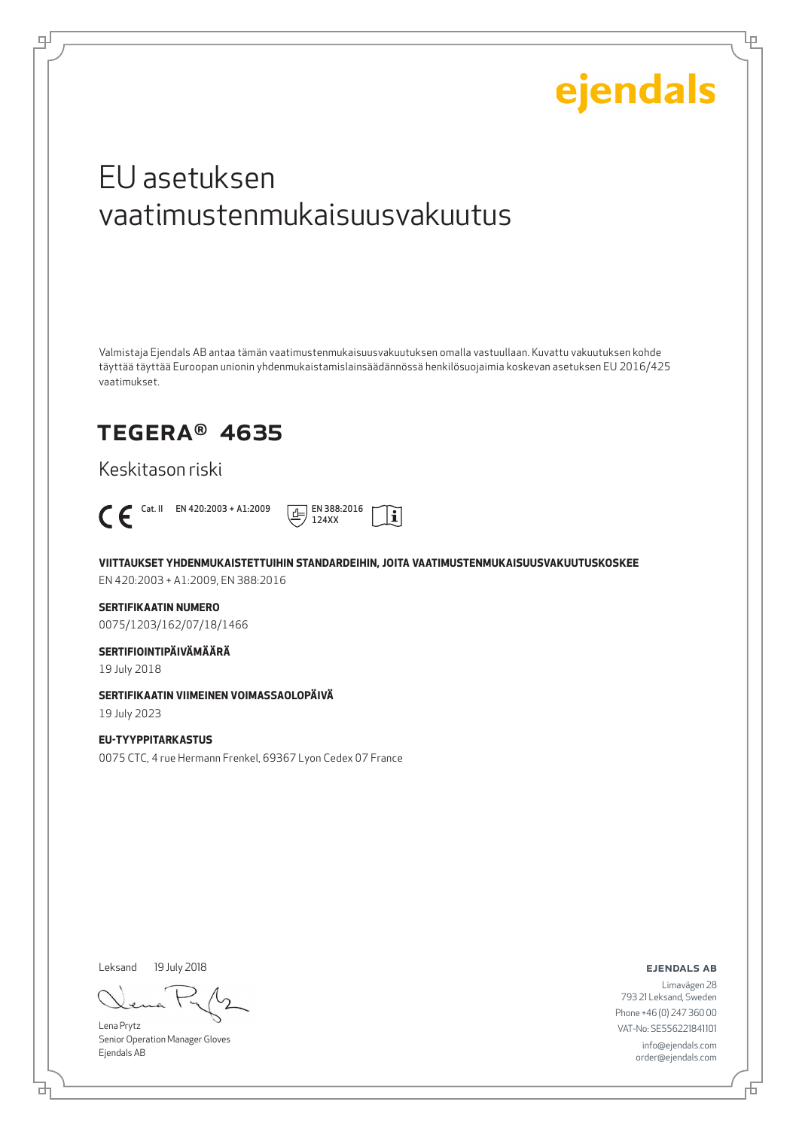Lμ

## EU asetuksen vaatimustenmukaisuusvakuutus

Valmistaja Ejendals AB antaa tämän vaatimustenmukaisuusvakuutuksen omalla vastuullaan. Kuvattu vakuutuksen kohde täyttää täyttää Euroopan unionin yhdenmukaistamislainsäädännössä henkilösuojaimia koskevan asetuksen EU 2016/425 vaatimukset.

## TEGERA® 4635

Keskitason riski

டி



**VIITTAUKSET YHDENMUKAISTETTUIHIN STANDARDEIHIN, JOITA VAATIMUSTENMUKAISUUSVAKUUTUSKOSKEE**

 $|\mathbf{i}|$ 

EN 420:2003 + A1:2009, EN 388:2016

### **SERTIFIKAATIN NUMERO**

0075/1203/162/07/18/1466

### **SERTIFIOINTIPÄIVÄMÄÄRÄ**

19 July 2018

### **SERTIFIKAATIN VIIMEINEN VOIMASSAOLOPÄIVÄ**

19 July 2023

### **EU-TYYPPITARKASTUS**

0075 CTC, 4 rue Hermann Frenkel, 69367 Lyon Cedex 07 France

Leksand 19 July 2018

Lena Prytz Senior Operation Manager Gloves Ejendals AB

ejendals ab

₫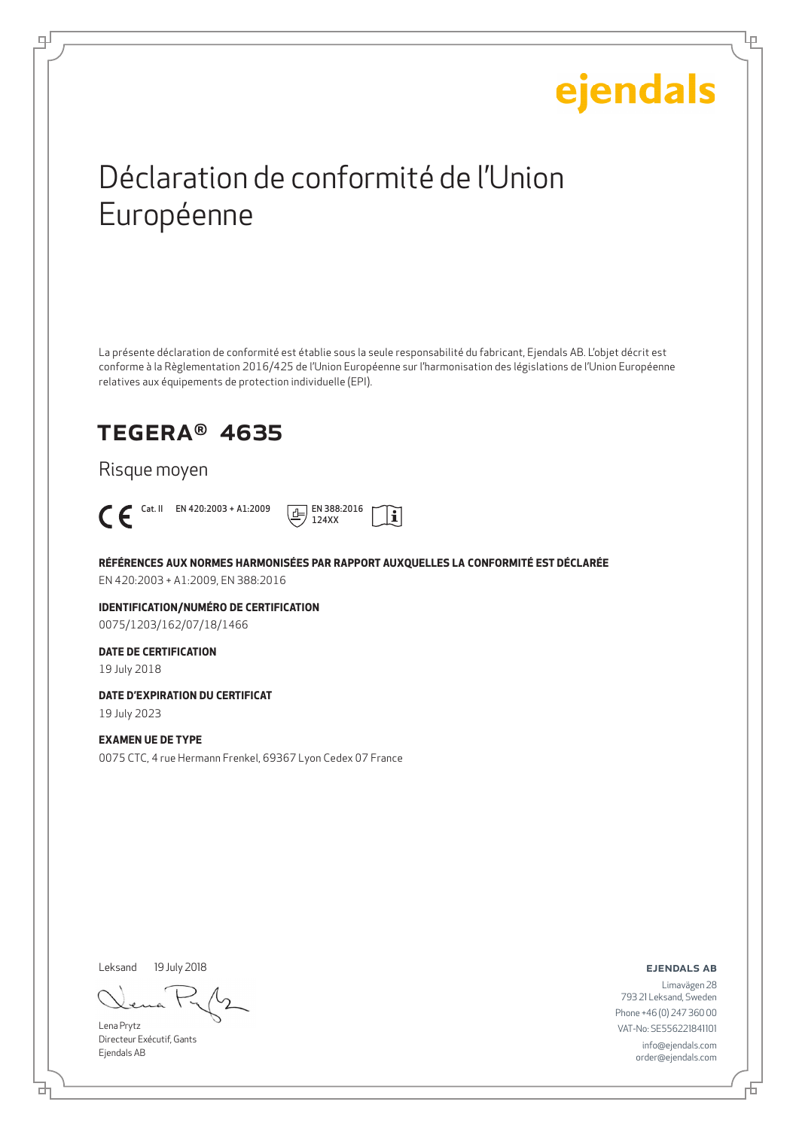Ļμ

## Déclaration de conformité de l'Union Européenne

La présente déclaration de conformité est établie sous la seule responsabilité du fabricant, Ejendals AB. L'objet décrit est conforme à la Règlementation 2016/425 de l'Union Européenne sur l'harmonisation des législations de l'Union Européenne relatives aux équipements de protection individuelle (EPI).

## TEGERA® 4635

Risque moyen



டி



**RÉFÉRENCES AUX NORMES HARMONISÉES PAR RAPPORT AUXQUELLES LA CONFORMITÉ EST DÉCLARÉE** EN 420:2003 + A1:2009, EN 388:2016

**IDENTIFICATION/NUMÉRO DE CERTIFICATION** 0075/1203/162/07/18/1466

### **DATE DE CERTIFICATION**

19 July 2018

### **DATE D'EXPIRATION DU CERTIFICAT**

19 July 2023

### **EXAMEN UE DE TYPE**

0075 CTC, 4 rue Hermann Frenkel, 69367 Lyon Cedex 07 France

Leksand 19 July 2018

Lena Prytz Directeur Exécutif, Gants Ejendals AB

ejendals ab

Limavägen 28 793 21 Leksand, Sweden Phone +46 (0) 247 360 00 VAT-No: SE556221841101 info@ejendals.com order@ejendals.com

Đ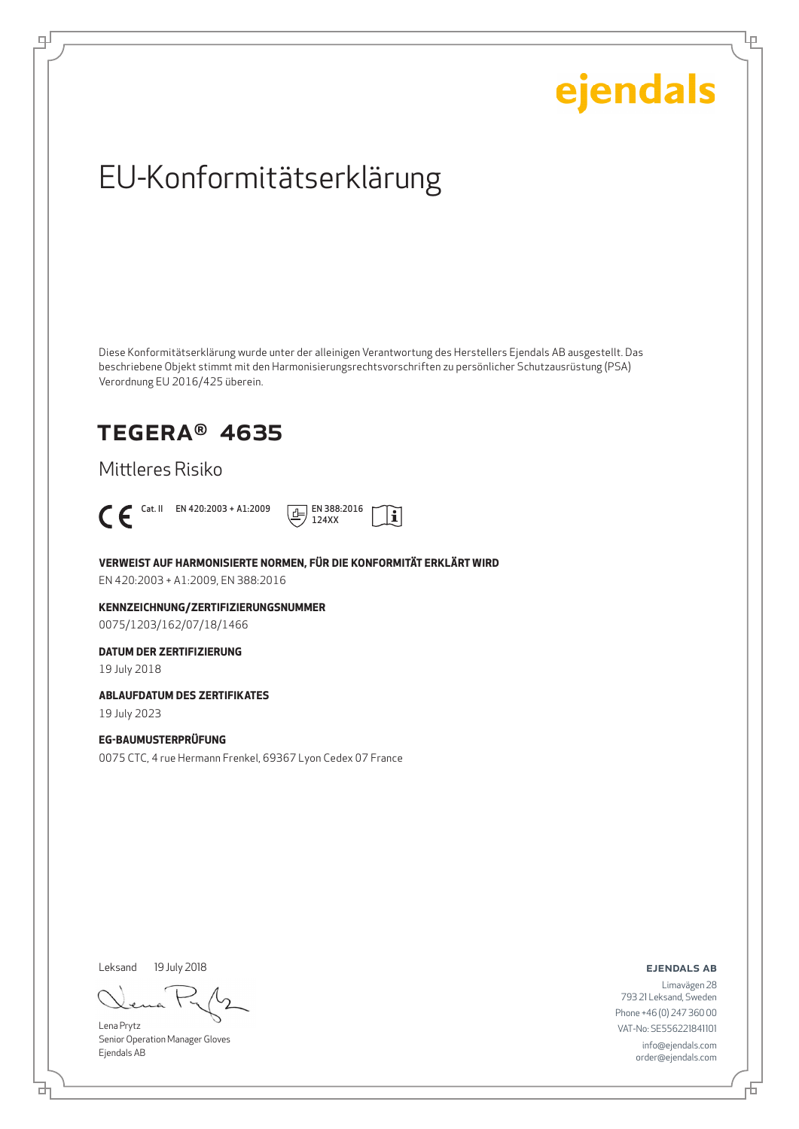Ļμ

## EU-Konformitätserklärung

Diese Konformitätserklärung wurde unter der alleinigen Verantwortung des Herstellers Ejendals AB ausgestellt. Das beschriebene Objekt stimmt mit den Harmonisierungsrechtsvorschriften zu persönlicher Schutzausrüstung (PSA) Verordnung EU 2016/425 überein.

### TEGERA® 4635

Mittleres Risiko



டி



**VERWEIST AUF HARMONISIERTE NORMEN, FÜR DIE KONFORMITÄT ERKLÄRT WIRD**

EN 420:2003 + A1:2009, EN 388:2016

**KENNZEICHNUNG/ZERTIFIZIERUNGSNUMMER** 0075/1203/162/07/18/1466

### **DATUM DER ZERTIFIZIERUNG**

19 July 2018

#### **ABLAUFDATUM DES ZERTIFIKATES**

19 July 2023

### **EG-BAUMUSTERPRÜFUNG**

0075 CTC, 4 rue Hermann Frenkel, 69367 Lyon Cedex 07 France

Leksand 19 July 2018

Lena Prytz Senior Operation Manager Gloves Ejendals AB

ejendals ab

Limavägen 28 793 21 Leksand, Sweden Phone +46 (0) 247 360 00 VAT-No: SE556221841101 info@ejendals.com order@ejendals.com

브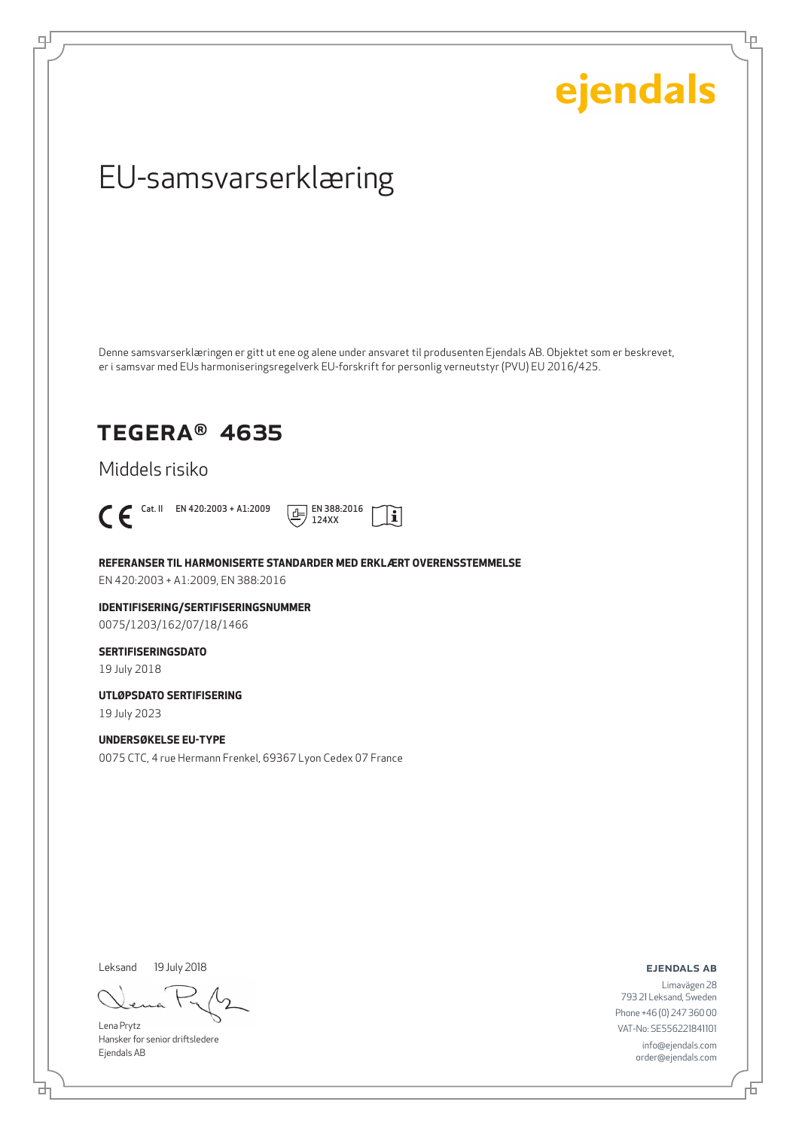Ļμ

## EU-samsvarserklæring

Denne samsvarserklæringen er gitt ut ene og alene under ansvaret til produsenten Ejendals AB. Objektet som er beskrevet, er i samsvar med EUs harmoniseringsregelverk EU-forskrift for personlig verneutstyr (PVU) EU 2016/425.

### TEGERA® 4635

Middels risiko



டி



**REFERANSER TIL HARMONISERTE STANDARDER MED ERKLÆRT OVERENSSTEMMELSE**

EN 420:2003 + A1:2009, EN 388:2016

**IDENTIFISERING/SERTIFISERINGSNUMMER** 0075/1203/162/07/18/1466

### **SERTIFISERINGSDATO**

19 July 2018

**UTLØPSDATO SERTIFISERING**

19 July 2023

### **UNDERSØKELSE EU-TYPE**

0075 CTC, 4 rue Hermann Frenkel, 69367 Lyon Cedex 07 France

Leksand 19 July 2018

Lena Prytz Hansker for senior driftsledere Ejendals AB

ejendals ab

브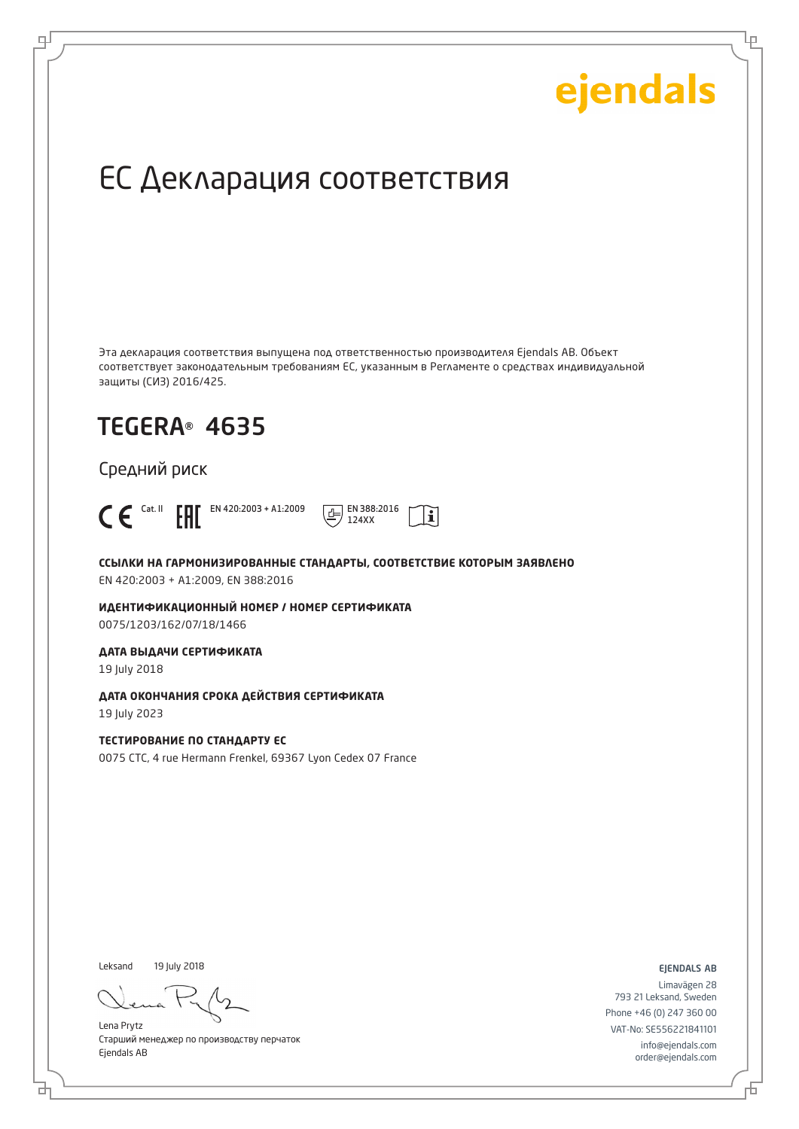Ļμ

## ЕС Декларация соответствия

Эта декларация соответствия выпущена под ответственностью производителя Ejendals AB. Объект соответствует законодательным требованиям ЕС, указанным в Регламенте о средствах индивидуальной защиты (СИЗ) 2016/425.

## TEGERA® 4635

Средний риск



டி



**ССЫЛКИ НА ГАРМОНИЗИРОВАННЫЕ СТАНДАРТЫ, СООТВЕТСТВИЕ КОТОРЫМ ЗАЯВЛЕНО** EN 420:2003 + A1:2009, EN 388:2016

**ИДЕНТИФИКАЦИОННЫЙ НОМЕР / НОМЕР СЕРТИФИКАТА** 0075/1203/162/07/18/1466

**ДАТА ВЫДАЧИ СЕРТИФИКАТА**

19 July 2018

**ДАТА ОКОНЧАНИЯ СРОКА ДЕЙСТВИЯ СЕРТИФИКАТА**

19 July 2023

**ТЕСТИРОВАНИЕ ПО СТАНДАРТУ ЕС**

0075 CTC, 4 rue Hermann Frenkel, 69367 Lyon Cedex 07 France

Leksand 19 July 2018

б

Lena Prytz Старший менеджер по производству перчаток Ejendals AB

ejendals ab

Б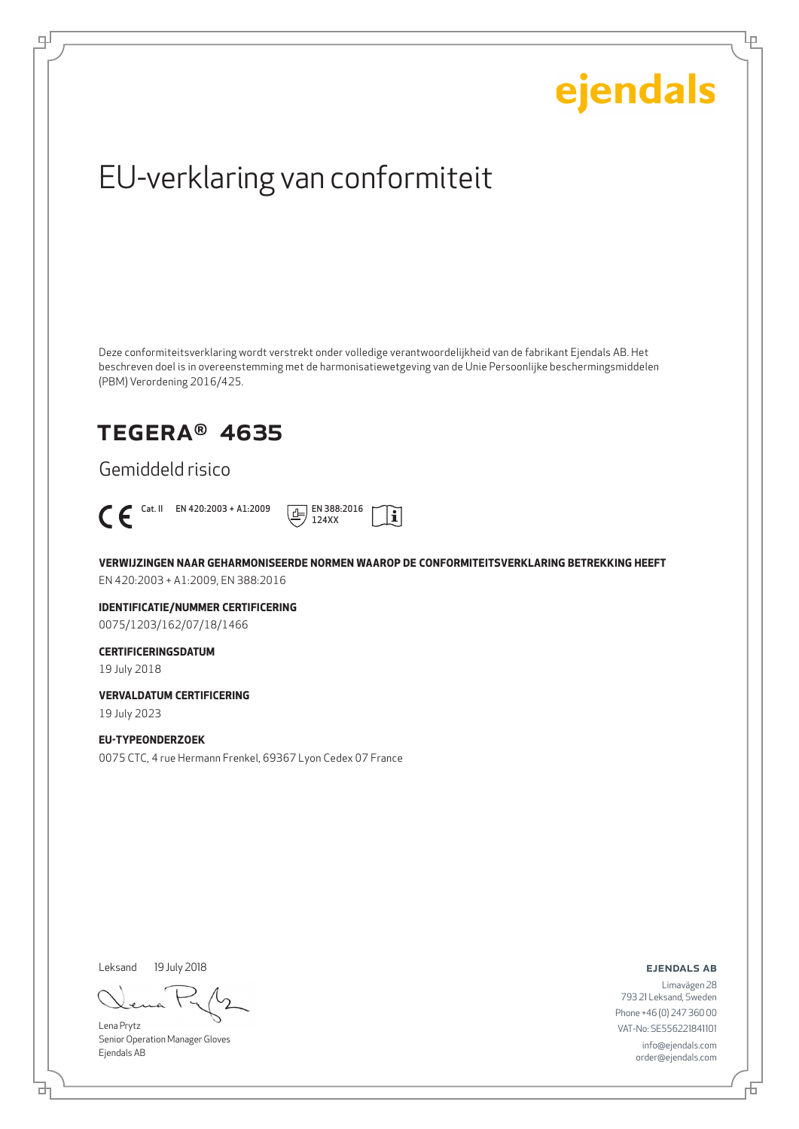Ļμ

## EU-verklaring van conformiteit

Deze conformiteitsverklaring wordt verstrekt onder volledige verantwoordelijkheid van de fabrikant Ejendals AB. Het beschreven doel is in overeenstemming met de harmonisatiewetgeving van de Unie Persoonlijke beschermingsmiddelen (PBM) Verordening 2016/425.

### TEGERA® 4635

Gemiddeld risico



டி



**VERWIJZINGEN NAAR GEHARMONISEERDE NORMEN WAAROP DE CONFORMITEITSVERKLARING BETREKKING HEEFT** EN 420:2003 + A1:2009, EN 388:2016

**IDENTIFICATIE/NUMMER CERTIFICERING** 0075/1203/162/07/18/1466

### **CERTIFICERINGSDATUM**

19 July 2018

**VERVALDATUM CERTIFICERING**

19 July 2023

### **EU-TYPEONDERZOEK**

0075 CTC, 4 rue Hermann Frenkel, 69367 Lyon Cedex 07 France

Leksand 19 July 2018

브

Lena Prytz Senior Operation Manager Gloves Ejendals AB

ejendals ab

舌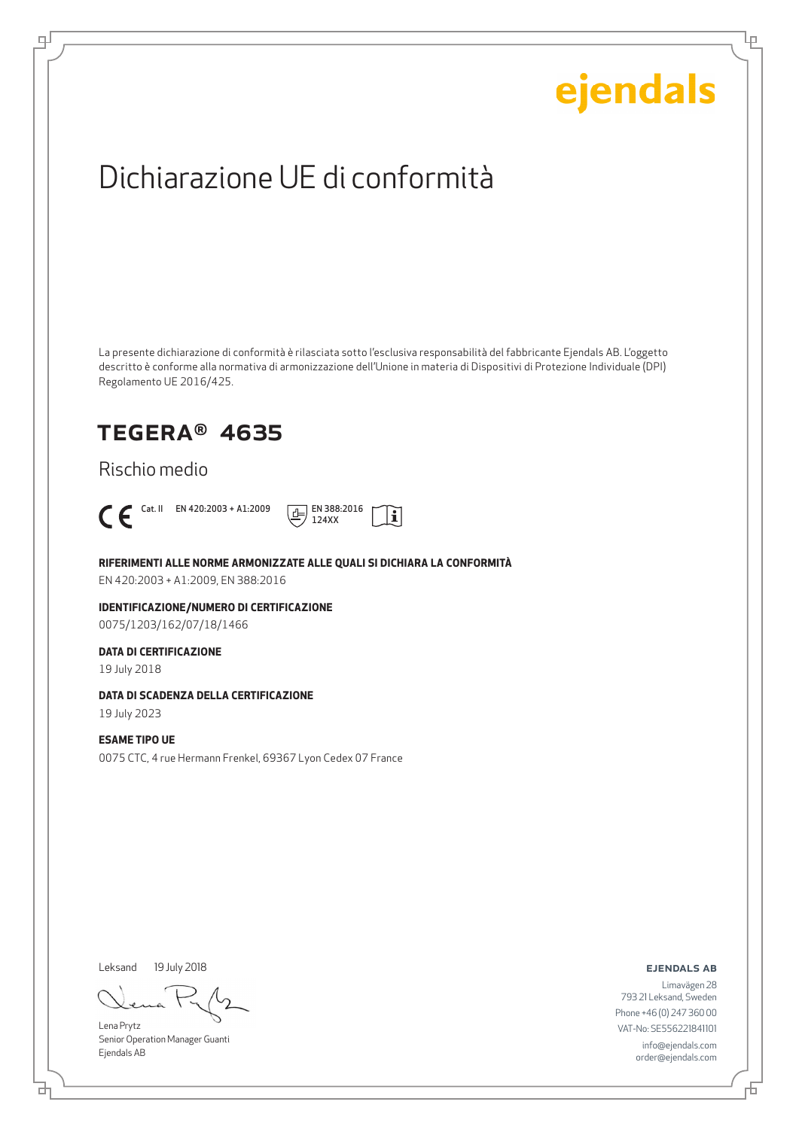Lρ

## Dichiarazione UE di conformità

La presente dichiarazione di conformità è rilasciata sotto l'esclusiva responsabilità del fabbricante Ejendals AB. L'oggetto descritto è conforme alla normativa di armonizzazione dell'Unione in materia di Dispositivi di Protezione Individuale (DPI) Regolamento UE 2016/425.

### TEGERA® 4635

Rischio medio



டி



**RIFERIMENTI ALLE NORME ARMONIZZATE ALLE QUALI SI DICHIARA LA CONFORMITÀ**

EN 420:2003 + A1:2009, EN 388:2016

**IDENTIFICAZIONE/NUMERO DI CERTIFICAZIONE** 0075/1203/162/07/18/1466

### **DATA DI CERTIFICAZIONE**

19 July 2018

### **DATA DI SCADENZA DELLA CERTIFICAZIONE**

19 July 2023

### **ESAME TIPO UE**

0075 CTC, 4 rue Hermann Frenkel, 69367 Lyon Cedex 07 France

Leksand 19 July 2018

Lena Prytz Senior Operation Manager Guanti Ejendals AB

ejendals ab

Limavägen 28 793 21 Leksand, Sweden Phone +46 (0) 247 360 00 VAT-No: SE556221841101 info@ejendals.com order@ejendals.com

브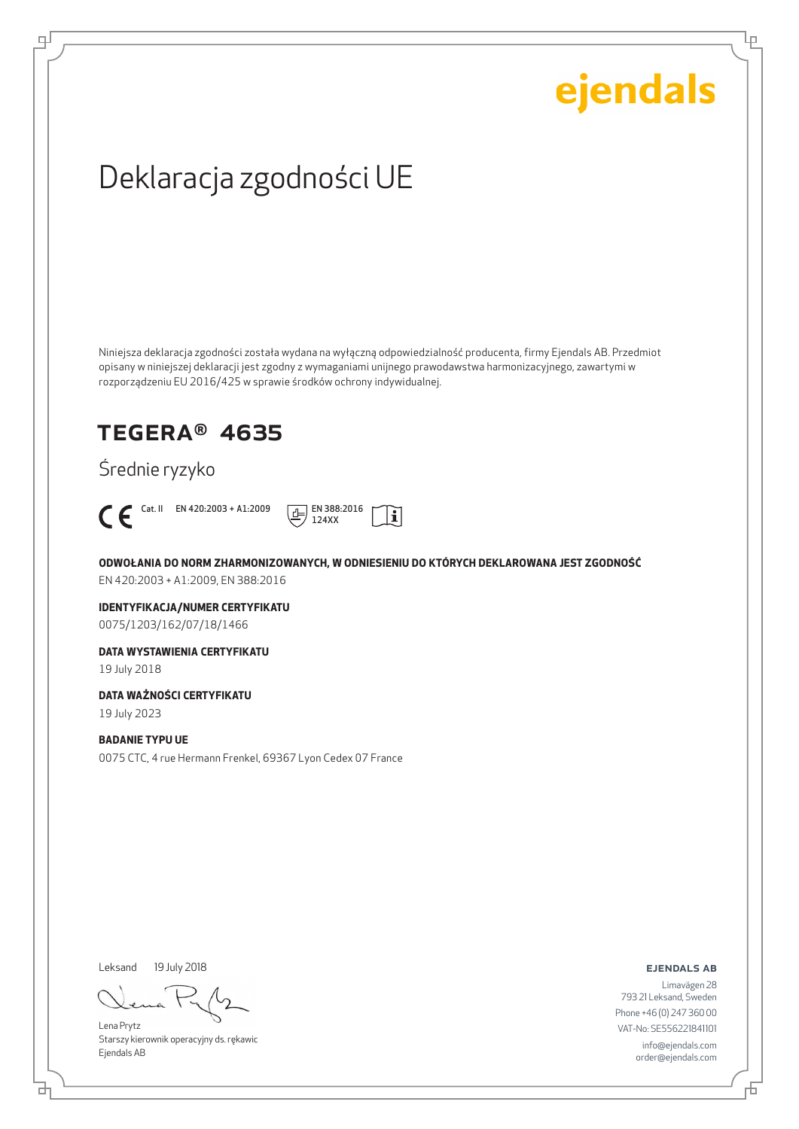Lρ

## Deklaracja zgodności UE

Niniejsza deklaracja zgodności została wydana na wyłączną odpowiedzialność producenta, firmy Ejendals AB. Przedmiot opisany w niniejszej deklaracji jest zgodny z wymaganiami unijnego prawodawstwa harmonizacyjnego, zawartymi w rozporządzeniu EU 2016/425 w sprawie środków ochrony indywidualnej.

## TEGERA® 4635

Średnie ryzyko



ψ



**ODWOŁANIA DO NORM ZHARMONIZOWANYCH, W ODNIESIENIU DO KTÓRYCH DEKLAROWANA JEST ZGODNOŚĆ** EN 420:2003 + A1:2009, EN 388:2016

**IDENTYFIKACJA/NUMER CERTYFIKATU** 0075/1203/162/07/18/1466

**DATA WYSTAWIENIA CERTYFIKATU**

19 July 2018

**DATA WAŻNOŚCI CERTYFIKATU**

19 July 2023

### **BADANIE TYPU UE**

0075 CTC, 4 rue Hermann Frenkel, 69367 Lyon Cedex 07 France

Leksand 19 July 2018

브

Lena Prytz Starszy kierownik operacyjny ds. rękawic Ejendals AB

ejendals ab

Đ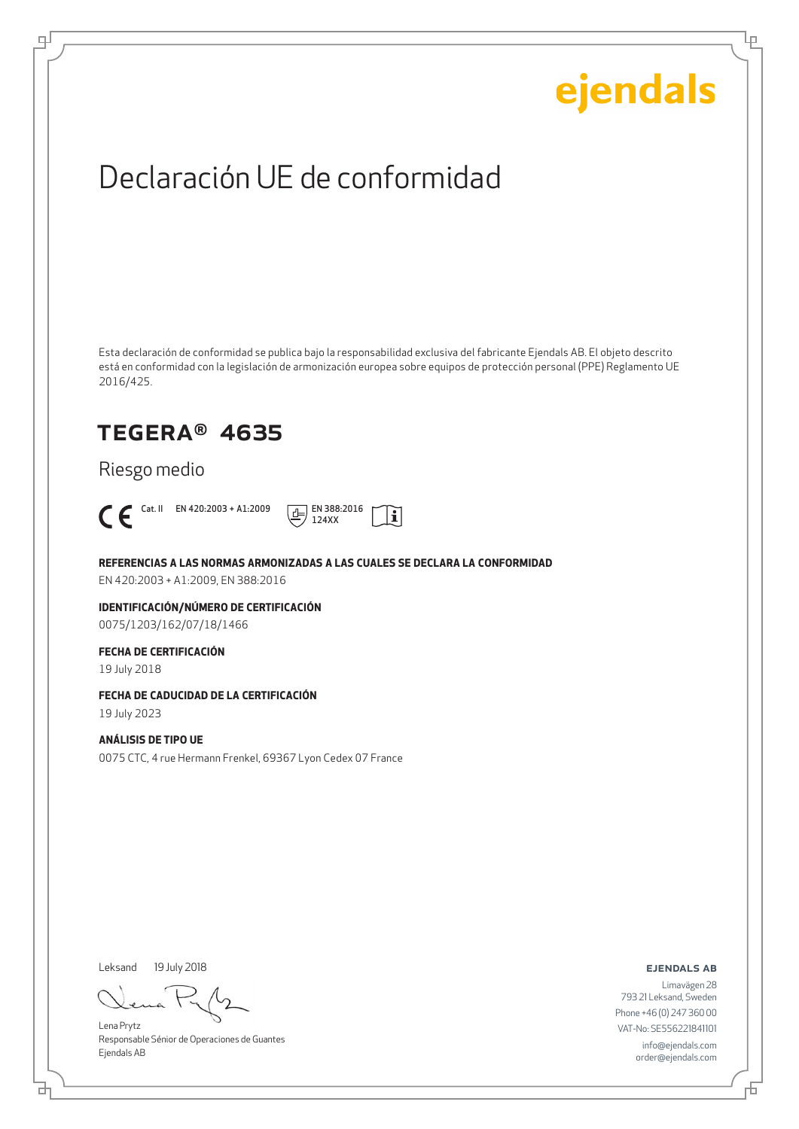Lρ

## Declaración UE de conformidad

Esta declaración de conformidad se publica bajo la responsabilidad exclusiva del fabricante Ejendals AB. El objeto descrito está en conformidad con la legislación de armonización europea sobre equipos de protección personal (PPE) Reglamento UE 2016/425.

## TEGERA® 4635

Riesgo medio



டி



**REFERENCIAS A LAS NORMAS ARMONIZADAS A LAS CUALES SE DECLARA LA CONFORMIDAD**

EN 420:2003 + A1:2009, EN 388:2016

**IDENTIFICACIÓN/NÚMERO DE CERTIFICACIÓN** 0075/1203/162/07/18/1466

### **FECHA DE CERTIFICACIÓN**

19 July 2018

### **FECHA DE CADUCIDAD DE LA CERTIFICACIÓN**

19 July 2023

### **ANÁLISIS DE TIPO UE**

0075 CTC, 4 rue Hermann Frenkel, 69367 Lyon Cedex 07 France

Leksand 19 July 2018

Lena Prytz Responsable Sénior de Operaciones de Guantes Ejendals AB

ejendals ab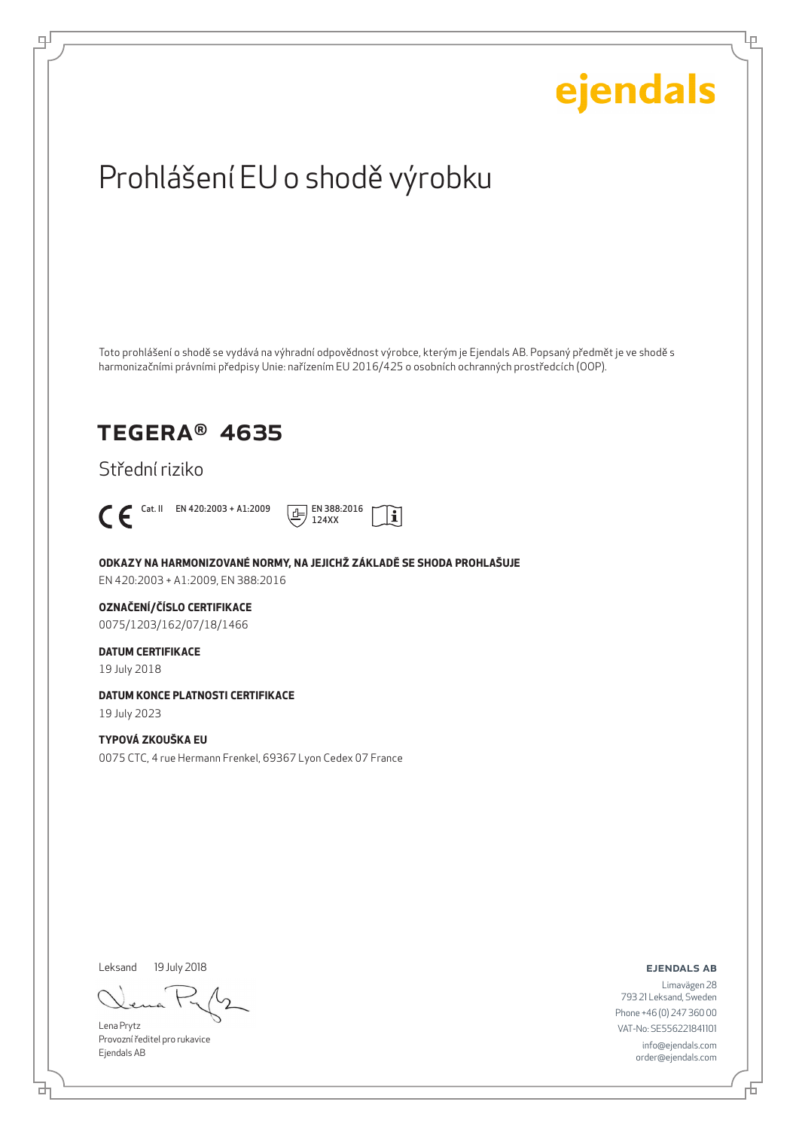Ļμ

## Prohlášení EU o shodě výrobku

Toto prohlášení o shodě se vydává na výhradní odpovědnost výrobce, kterým je Ejendals AB. Popsaný předmět je ve shodě s harmonizačními právními předpisy Unie: nařízením EU 2016/425 o osobních ochranných prostředcích (OOP).

### TEGERA® 4635

Střední riziko



டி



**ODKAZY NA HARMONIZOVANÉ NORMY, NA JEJICHŽ ZÁKLADĚ SE SHODA PROHLAŠUJE**

EN 420:2003 + A1:2009, EN 388:2016

### **OZNAČENÍ/ČÍSLO CERTIFIKACE**

0075/1203/162/07/18/1466

### **DATUM CERTIFIKACE**

19 July 2018

### **DATUM KONCE PLATNOSTI CERTIFIKACE**

19 July 2023

### **TYPOVÁ ZKOUŠKA EU**

0075 CTC, 4 rue Hermann Frenkel, 69367 Lyon Cedex 07 France

Leksand 19 July 2018

Lena Prytz Provozní ředitel pro rukavice Ejendals AB

#### ejendals ab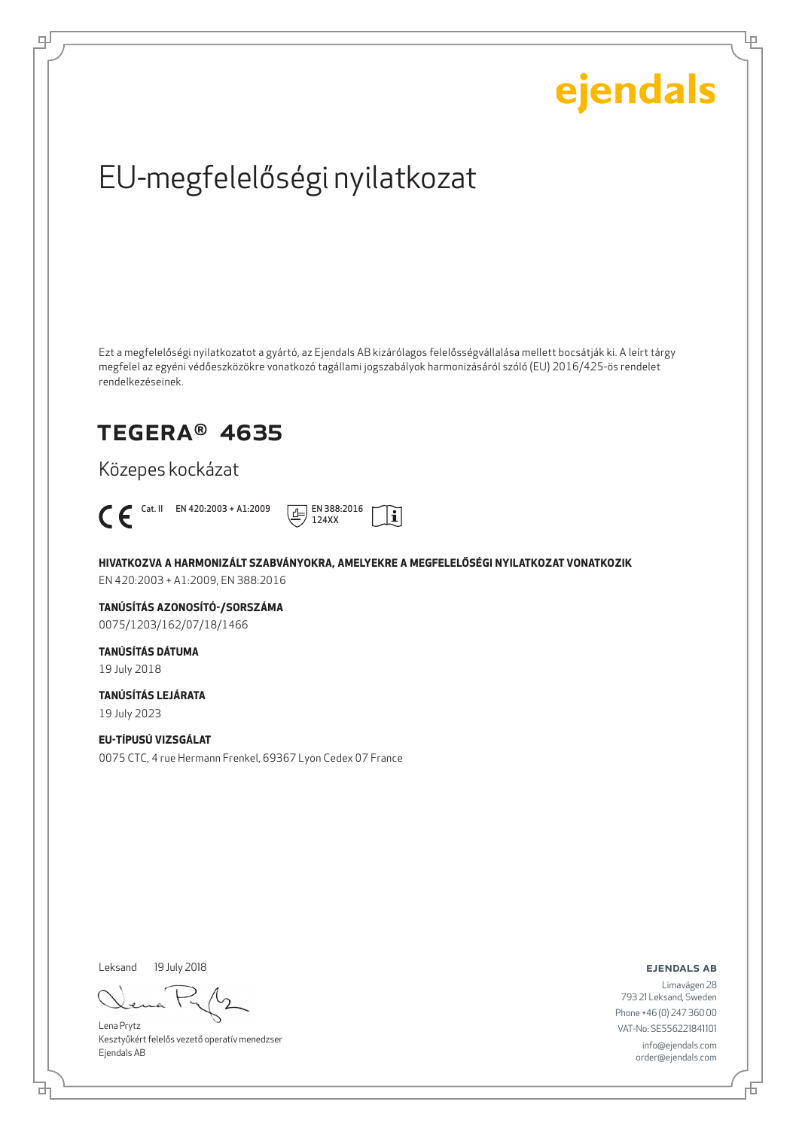Ļμ

## EU-megfelelőségi nyilatkozat

Ezt a megfelelőségi nyilatkozatot a gyártó, az Ejendals AB kizárólagos felelősségvállalása mellett bocsátják ki. A leírt tárgy megfelel az egyéni védőeszközökre vonatkozó tagállami jogszabályok harmonizásáról szóló (EU) 2016/425-ös rendelet rendelkezéseinek.

## TEGERA® 4635

Közepes kockázat



ψ



**HIVATKOZVA A HARMONIZÁLT SZABVÁNYOKRA, AMELYEKRE A MEGFELELŐSÉGI NYILATKOZAT VONATKOZIK**

EN 420:2003 + A1:2009, EN 388:2016

**TANÚSÍTÁS AZONOSÍTÓ-/SORSZÁMA** 0075/1203/162/07/18/1466

### **TANÚSÍTÁS DÁTUMA** 19 July 2018

**TANÚSÍTÁS LEJÁRATA**

19 July 2023

### **EU-TÍPUSÚ VIZSGÁLAT**

0075 CTC, 4 rue Hermann Frenkel, 69367 Lyon Cedex 07 France

Leksand 19 July 2018

Lena Prytz Kesztyűkért felelős vezető operatív menedzser Ejendals AB

ejendals ab

Đ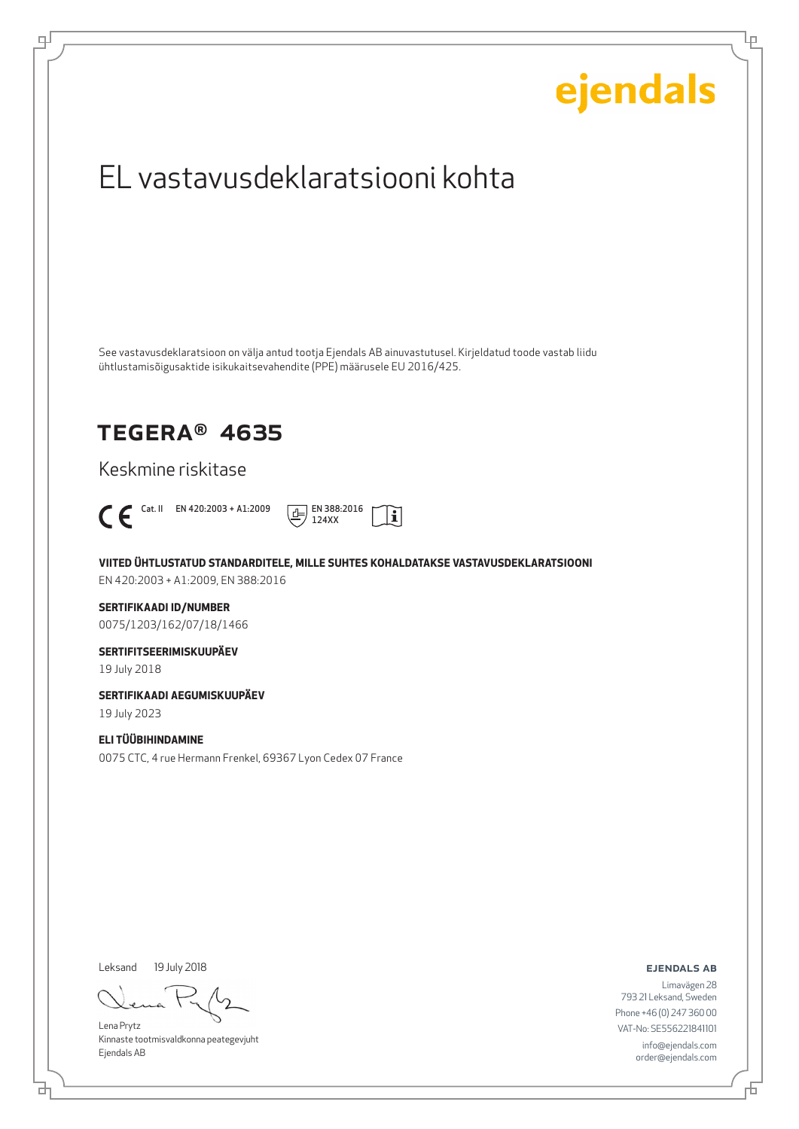# ejendals EL vastavusdeklaratsiooni kohta See vastavusdeklaratsioon on välja antud tootja Ejendals AB ainuvastutusel. Kirjeldatud toode vastab liidu ühtlustamisõigusaktide isikukaitsevahendite (PPE) määrusele EU 2016/425. TEGERA® 4635 Keskmine riskitase  $\bigcap$  Cat. II EN 420:2003 + A1:2009  $\boxed{\underline{d}}$  EN 388:2016  $|\tilde{\mathbf{i}}|$ 124XX **VIITED ÜHTLUSTATUD STANDARDITELE, MILLE SUHTES KOHALDATAKSE VASTAVUSDEKLARATSIOONI** EN 420:2003 + A1:2009, EN 388:2016 **SERTIFIKAADI ID/NUMBER** 0075/1203/162/07/18/1466 **SERTIFITSEERIMISKUUPÄEV** 19 July 2018 **SERTIFIKAADI AEGUMISKUUPÄEV** 19 July 2023 **ELI TÜÜBIHINDAMINE** 0075 CTC, 4 rue Hermann Frenkel, 69367 Lyon Cedex 07 France Leksand 19 July 2018

Lena Prytz Kinnaste tootmisvaldkonna peategevjuht Ejendals AB

ejendals ab

Đ

Ļμ

Limavägen 28 793 21 Leksand, Sweden Phone +46 (0) 247 360 00 VAT-No: SE556221841101 info@ejendals.com order@ejendals.com

டி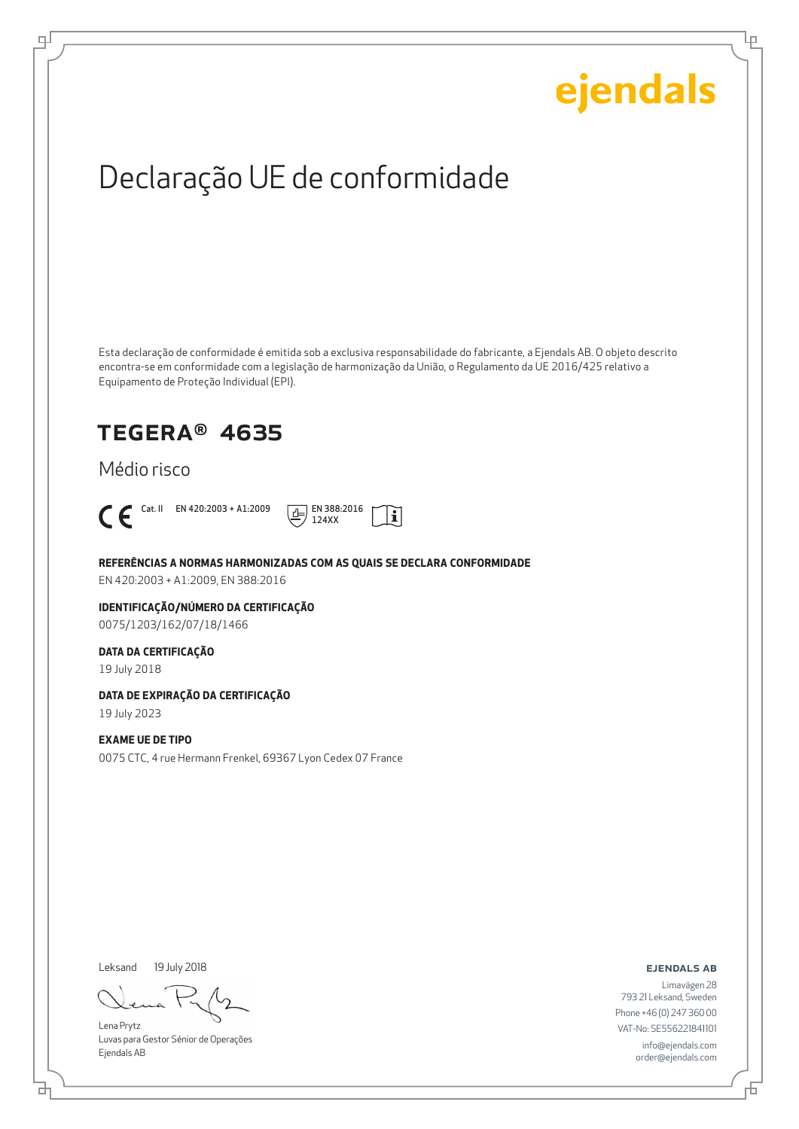Ļμ

## Declaração UE de conformidade

Esta declaração de conformidade é emitida sob a exclusiva responsabilidade do fabricante, a Ejendals AB. O objeto descrito encontra-se em conformidade com a legislação de harmonização da União, o Regulamento da UE 2016/425 relativo a Equipamento de Proteção Individual (EPI).

### TEGERA® 4635

Médio risco



ψ



### **REFERÊNCIAS A NORMAS HARMONIZADAS COM AS QUAIS SE DECLARA CONFORMIDADE**

EN 420:2003 + A1:2009, EN 388:2016

#### **IDENTIFICAÇÃO/NÚMERO DA CERTIFICAÇÃO** 0075/1203/162/07/18/1466

#### **DATA DA CERTIFICAÇÃO**

19 July 2018

### **DATA DE EXPIRAÇÃO DA CERTIFICAÇÃO**

19 July 2023

#### **EXAME UE DE TIPO**

0075 CTC, 4 rue Hermann Frenkel, 69367 Lyon Cedex 07 France

Leksand 19 July 2018

Lena Prytz Luvas para Gestor Sénior de Operações Ejendals AB

ejendals ab

Limavägen 28 793 21 Leksand, Sweden Phone +46 (0) 247 360 00 VAT-No: SE556221841101 info@ejendals.com order@ejendals.com

Б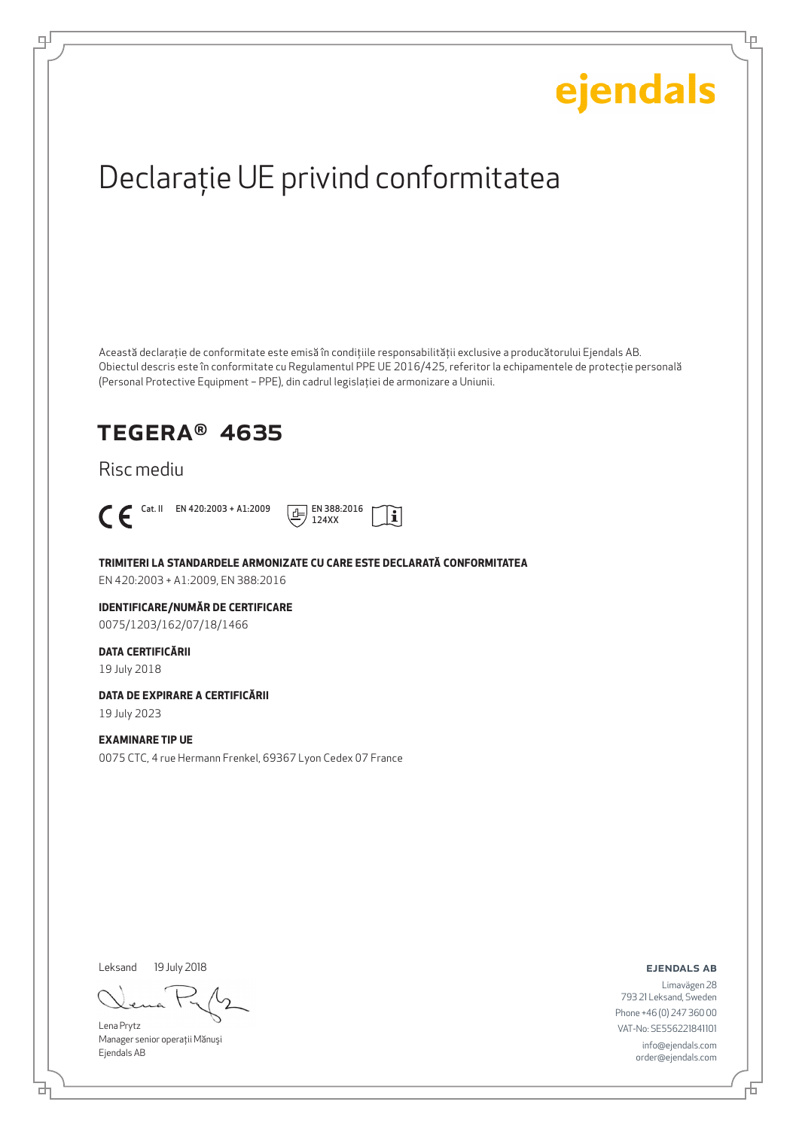Ļμ

## Declaraţie UE privind conformitatea

Această declaraţie de conformitate este emisă în condiţiile responsabilităţii exclusive a producătorului Ejendals AB. Obiectul descris este în conformitate cu Regulamentul PPE UE 2016/425, referitor la echipamentele de protecţie personală (Personal Protective Equipment – PPE), din cadrul legislaţiei de armonizare a Uniunii.

## TEGERA® 4635

### Risc mediu



டி



#### **TRIMITERI LA STANDARDELE ARMONIZATE CU CARE ESTE DECLARATĂ CONFORMITATEA**

EN 420:2003 + A1:2009, EN 388:2016

### **IDENTIFICARE/NUMĂR DE CERTIFICARE**

0075/1203/162/07/18/1466

### **DATA CERTIFICĂRII**

19 July 2018

#### **DATA DE EXPIRARE A CERTIFICĂRII**

19 July 2023

#### **EXAMINARE TIP UE**

0075 CTC, 4 rue Hermann Frenkel, 69367 Lyon Cedex 07 France

Leksand 19 July 2018

Lena Prytz Manager senior operatii Mănuși Ejendals AB

#### ejendals ab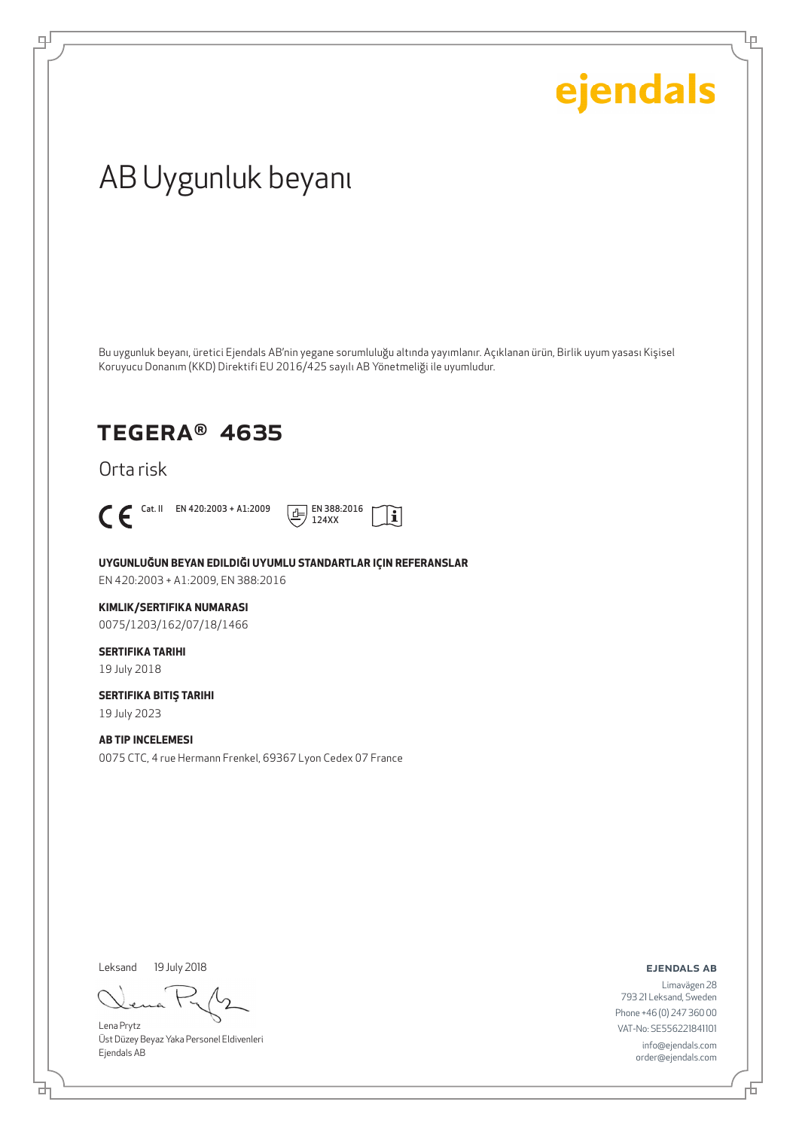Ļρ

## AB Uygunluk beyanı

Bu uygunluk beyanı, üretici Ejendals AB'nin yegane sorumluluğu altında yayımlanır. Açıklanan ürün, Birlik uyum yasası Kişisel Koruyucu Donanım (KKD) Direktifi EU 2016/425 sayılı AB Yönetmeliği ile uyumludur.

### TEGERA® 4635

Orta risk



டி



**UYGUNLUĞUN BEYAN EDILDIĞI UYUMLU STANDARTLAR IÇIN REFERANSLAR** EN 420:2003 + A1:2009, EN 388:2016

### **KIMLIK/SERTIFIKA NUMARASI**

0075/1203/162/07/18/1466

### **SERTIFIKA TARIHI**

19 July 2018

### **SERTIFIKA BITIŞ TARIHI** 19 July 2023

**AB TIP INCELEMESI** 0075 CTC, 4 rue Hermann Frenkel, 69367 Lyon Cedex 07 France

Leksand 19 July 2018

Lena Prytz Üst Düzey Beyaz Yaka Personel Eldivenleri Ejendals AB

#### ejendals ab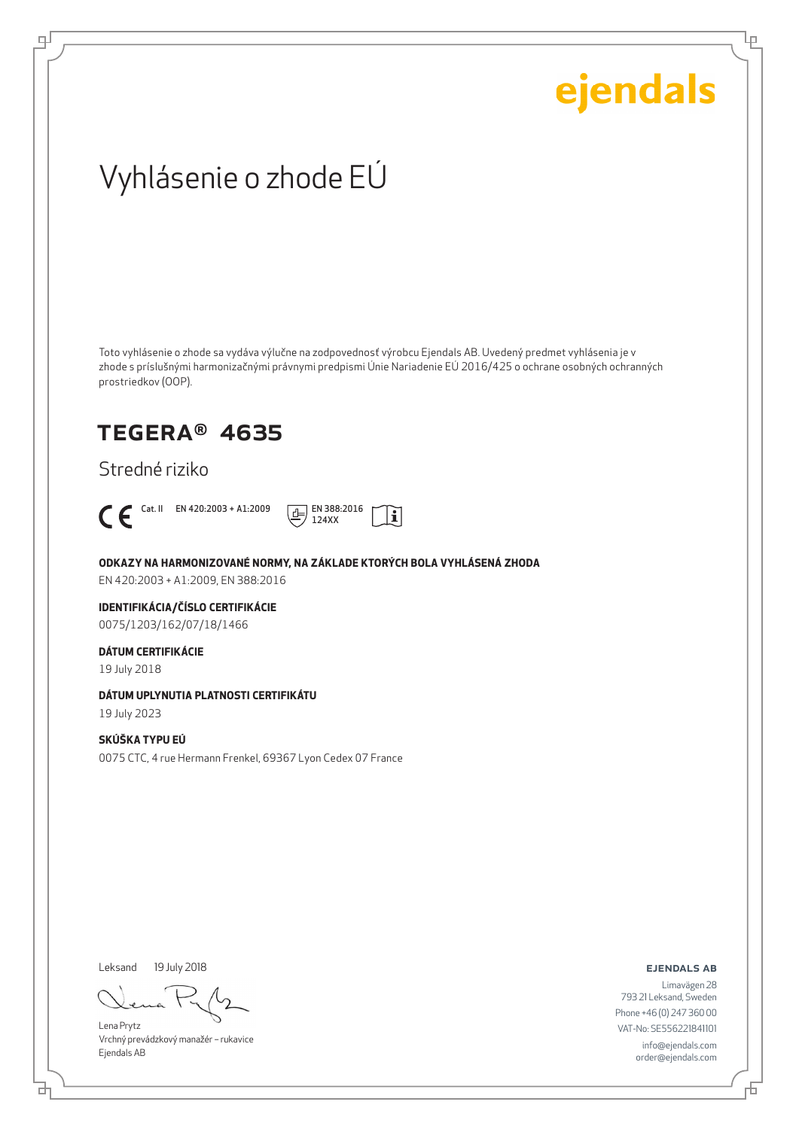Lρ

## Vyhlásenie o zhode EÚ

Toto vyhlásenie o zhode sa vydáva výlučne na zodpovednosť výrobcu Ejendals AB. Uvedený predmet vyhlásenia je v zhode s príslušnými harmonizačnými právnymi predpismi Únie Nariadenie EÚ 2016/425 o ochrane osobných ochranných prostriedkov (OOP).

### TEGERA® 4635

Stredné riziko



ψ



**ODKAZY NA HARMONIZOVANÉ NORMY, NA ZÁKLADE KTORÝCH BOLA VYHLÁSENÁ ZHODA**

EN 420:2003 + A1:2009, EN 388:2016

### **IDENTIFIKÁCIA/ČÍSLO CERTIFIKÁCIE**

0075/1203/162/07/18/1466

### **DÁTUM CERTIFIKÁCIE**

19 July 2018

#### **DÁTUM UPLYNUTIA PLATNOSTI CERTIFIKÁTU**

19 July 2023

### **SKÚŠKA TYPU EÚ**

0075 CTC, 4 rue Hermann Frenkel, 69367 Lyon Cedex 07 France

Leksand 19 July 2018

Lena Prytz Vrchný prevádzkový manažér – rukavice Ejendals AB

#### ejendals ab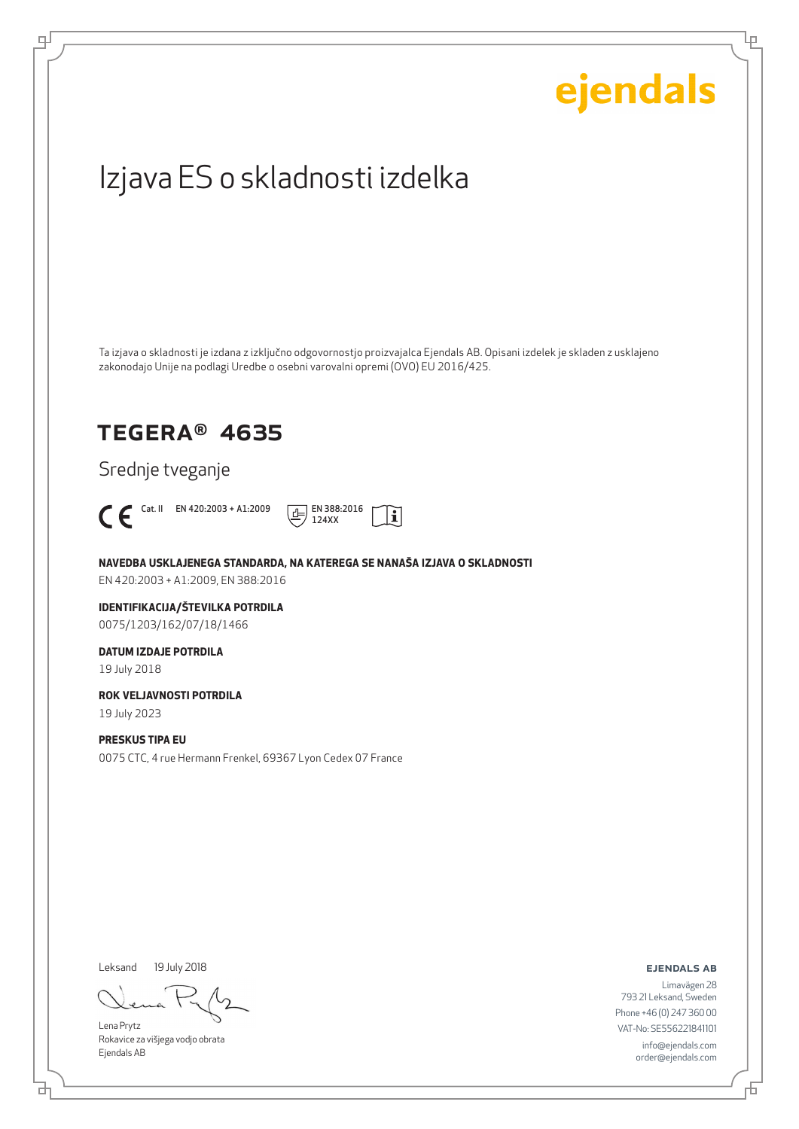# ejendals Izjava ES o skladnosti izdelka Ta izjava o skladnosti je izdana z izključno odgovornostjo proizvajalca Ejendals AB. Opisani izdelek je skladen z usklajeno zakonodajo Unije na podlagi Uredbe o osebni varovalni opremi (OVO) EU 2016/425. TEGERA® 4635 Srednje tveganje  $\bigcap_{124 \text{ X}}$  Cat. II EN 420:2003 + A1:2009  $\frac{1}{\sqrt{1}}$  EN 388:2016  $|\tilde{\mathbf{i}}|$ 124XX **NAVEDBA USKLAJENEGA STANDARDA, NA KATEREGA SE NANAŠA IZJAVA O SKLADNOSTI** EN 420:2003 + A1:2009, EN 388:2016 **IDENTIFIKACIJA/ŠTEVILKA POTRDILA** 0075/1203/162/07/18/1466 **DATUM IZDAJE POTRDILA** 19 July 2018 **ROK VELJAVNOSTI POTRDILA** 19 July 2023 **PRESKUS TIPA EU** 0075 CTC, 4 rue Hermann Frenkel, 69367 Lyon Cedex 07 France

Leksand 19 July 2018

브

டி

Lena Prytz Rokavice za višjega vodjo obrata Ejendals AB

ejendals ab

舌

Ļμ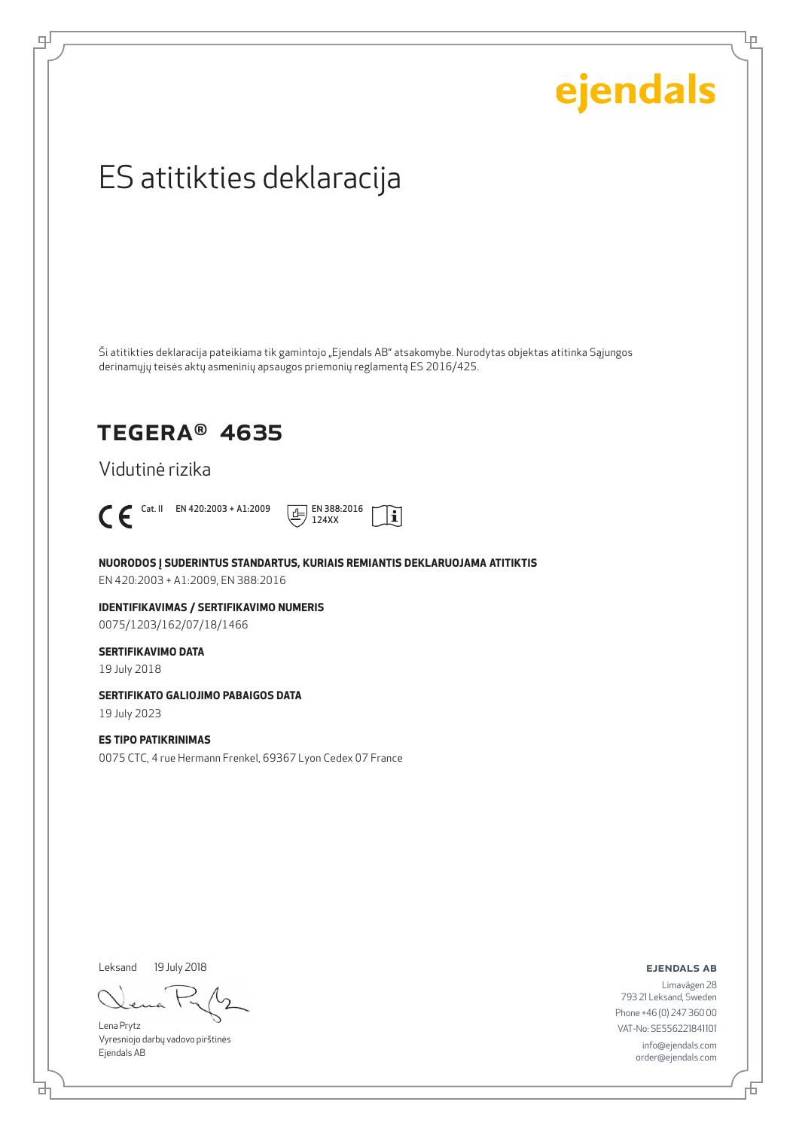Ļμ

## ES atitikties deklaracija

Ši atitikties deklaracija pateikiama tik gamintojo "Ejendals AB" atsakomybe. Nurodytas objektas atitinka Sąjungos derinamųjų teisės aktų asmeninių apsaugos priemonių reglamentą ES 2016/425.

### TEGERA® 4635

Vidutinė rizika



டி



**NUORODOS Į SUDERINTUS STANDARTUS, KURIAIS REMIANTIS DEKLARUOJAMA ATITIKTIS** EN 420:2003 + A1:2009, EN 388:2016

**IDENTIFIKAVIMAS / SERTIFIKAVIMO NUMERIS** 0075/1203/162/07/18/1466

#### **SERTIFIKAVIMO DATA**

19 July 2018

### **SERTIFIKATO GALIOJIMO PABAIGOS DATA**

19 July 2023

### **ES TIPO PATIKRINIMAS**

0075 CTC, 4 rue Hermann Frenkel, 69367 Lyon Cedex 07 France

Leksand 19 July 2018

Lena Prytz Vyresniojo darbų vadovo pirštinės Ejendals AB

ejendals ab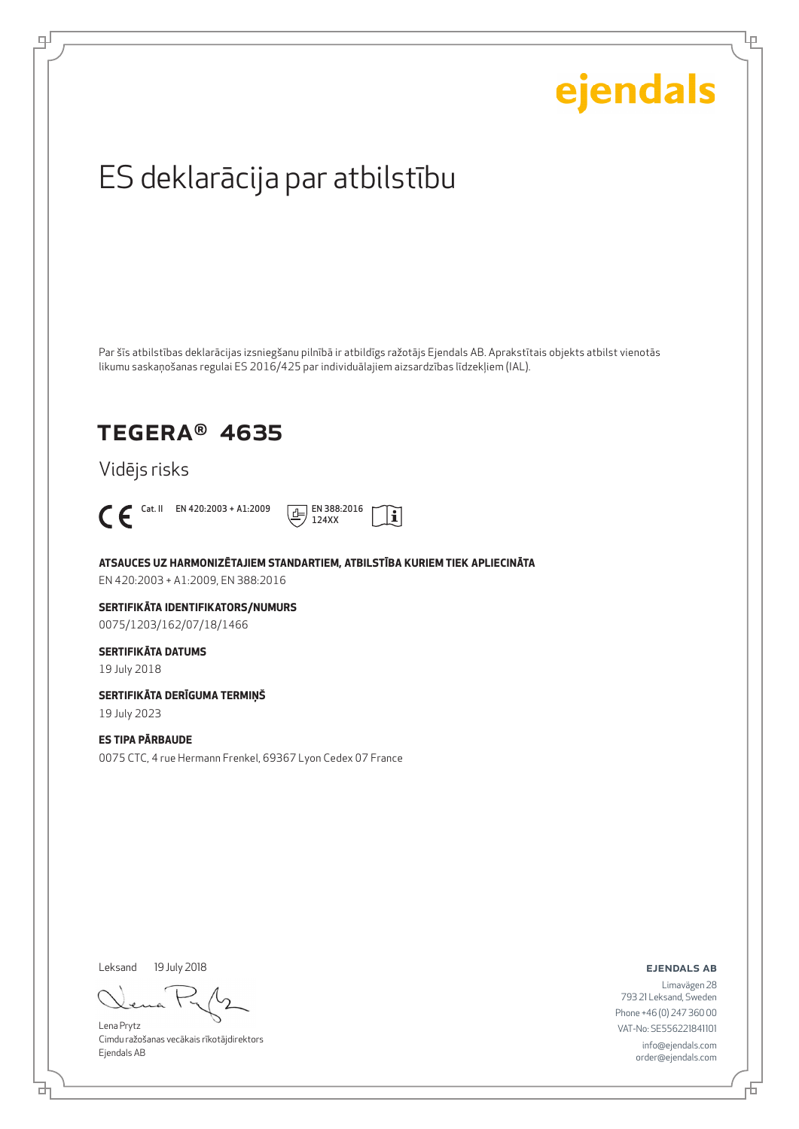Lρ

## ES deklarācija par atbilstību

Par šīs atbilstības deklarācijas izsniegšanu pilnībā ir atbildīgs ražotājs Ejendals AB. Aprakstītais objekts atbilst vienotās likumu saskaņošanas regulai ES 2016/425 par individuālajiem aizsardzības līdzekļiem (IAL).

### TEGERA® 4635

Vidējs risks



டி



**ATSAUCES UZ HARMONIZĒTAJIEM STANDARTIEM, ATBILSTĪBA KURIEM TIEK APLIECINĀTA**

EN 420:2003 + A1:2009, EN 388:2016

#### **SERTIFIKĀTA IDENTIFIKATORS/NUMURS** 0075/1203/162/07/18/1466

#### **SERTIFIKĀTA DATUMS**

19 July 2018

### **SERTIFIKĀTA DERĪGUMA TERMIŅŠ**

19 July 2023

#### **ES TIPA PĀRBAUDE**

0075 CTC, 4 rue Hermann Frenkel, 69367 Lyon Cedex 07 France

Leksand 19 July 2018

Lena Prytz Cimdu ražošanas vecākais rīkotājdirektors Ejendals AB

ejendals ab

Limavägen 28 793 21 Leksand, Sweden Phone +46 (0) 247 360 00 VAT-No: SE556221841101 info@ejendals.com order@ejendals.com

Đ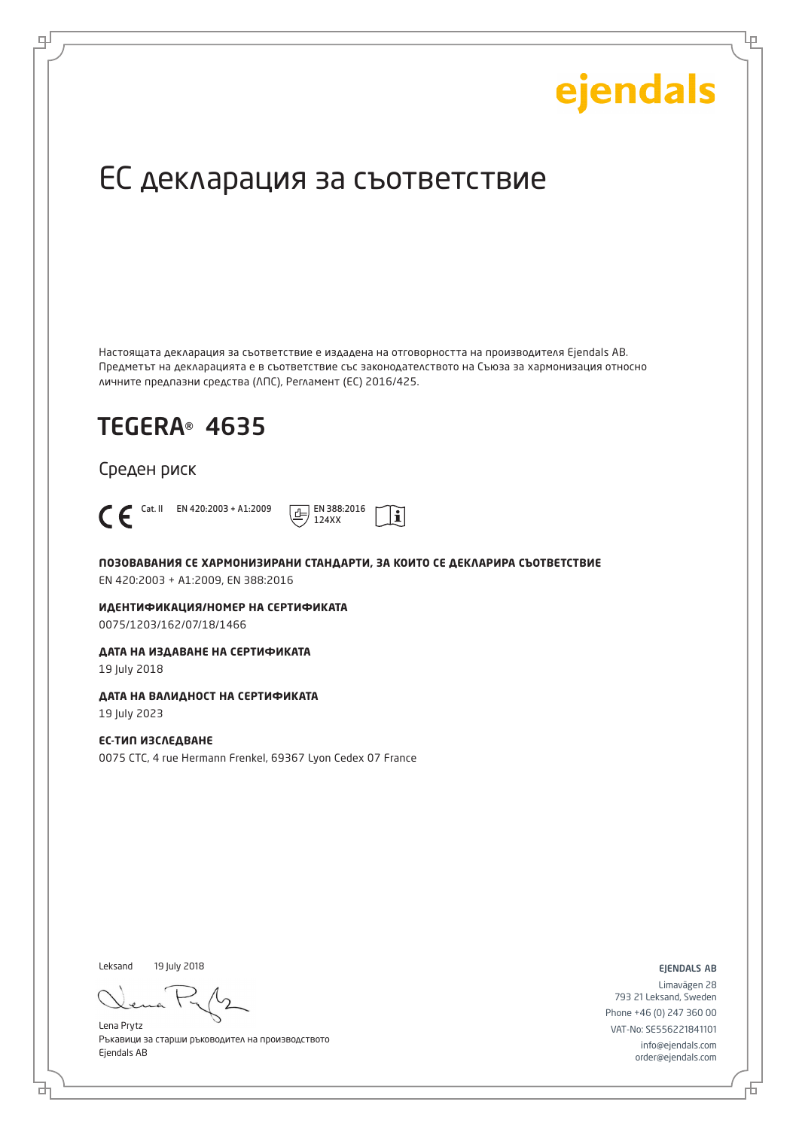Ļμ

## ЕС декларация за съответствие

Настоящата декларация за съответствие е издадена на отговорността на производителя Ejendals AB. Предметът на декларацията е в съответствие със законодателството на Съюза за хармонизация относно личните предпазни средства (ЛПС), Регламент (ЕС) 2016/425.

 $\mathbf i$ 

## TEGERA® 4635

Среден риск



டி



**ПОЗОВАВАНИЯ СЕ ХАРМОНИЗИРАНИ СТАНДАРТИ, ЗА КОИТО СЕ ДЕКЛАРИРА СЪОТВЕТСТВИЕ** EN 420:2003 + A1:2009, EN 388:2016

**ИДЕНТИФИКАЦИЯ/НОМЕР НА СЕРТИФИКАТА** 0075/1203/162/07/18/1466

**ДАТА НА ИЗДАВАНЕ НА СЕРТИФИКАТА**

19 July 2018

### **ДАТА НА ВАЛИДНОСТ НА СЕРТИФИКАТА**

19 July 2023

### **ЕС-ТИП ИЗСЛЕДВАНЕ**

0075 CTC, 4 rue Hermann Frenkel, 69367 Lyon Cedex 07 France

Leksand 19 July 2018

Lena Prytz Ръкавици за старши ръководител на производството Ejendals AB

ejendals ab

Limavägen 28 793 21 Leksand, Sweden Phone +46 (0) 247 360 00 VAT-No: SE556221841101 info@ejendals.com order@ejendals.com

Б